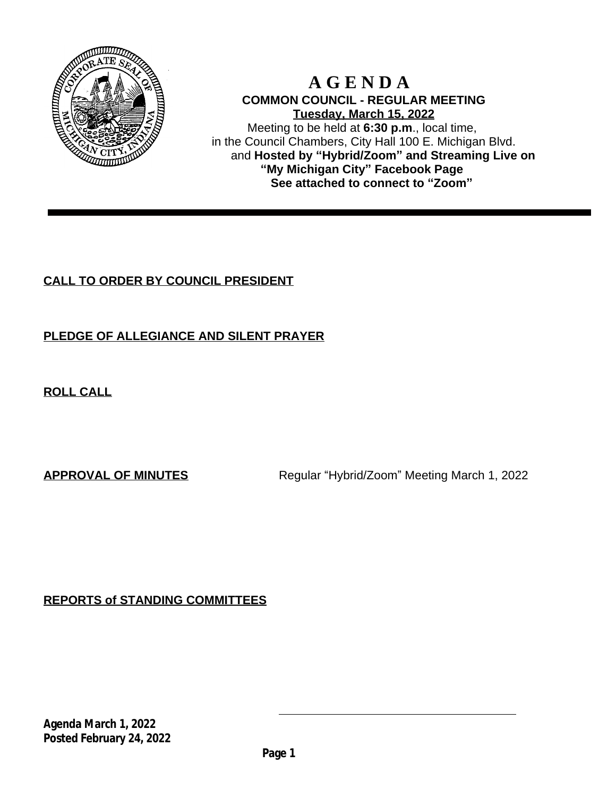

### **A G E N D A COMMON COUNCIL - REGULAR MEETING Tuesday, March 15, 2022** Meeting to be held at **6:30 p.m**., local time, in the Council Chambers, City Hall 100 E. Michigan Blvd. and **Hosted by "Hybrid/Zoom" and Streaming Live on "My Michigan City" Facebook Page See attached to connect to "Zoom"**

# **CALL TO ORDER BY COUNCIL PRESIDENT**

# **PLEDGE OF ALLEGIANCE AND SILENT PRAYER**

**ROLL CALL**

**APPROVAL OF MINUTES** Regular "Hybrid/Zoom" Meeting March 1, 2022

**REPORTS of STANDING COMMITTEES**

**Agenda March 1, 2022 Posted February 24, 2022**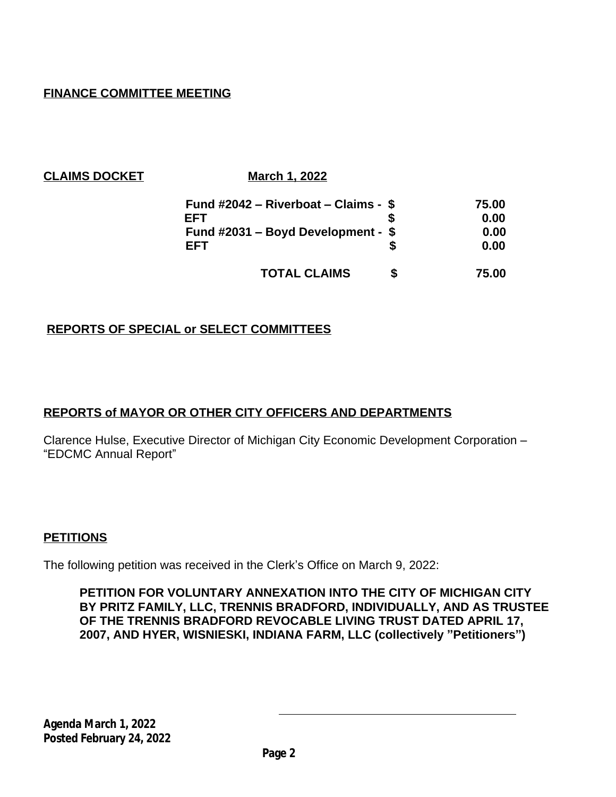# **FINANCE COMMITTEE MEETING**

| <b>CLAIMS DOCKET</b> |  |
|----------------------|--|
|----------------------|--|

**March 1, 2022** 

| Fund $\#2042$ – Riverboat – Claims - \$ |  | 75.00 |
|-----------------------------------------|--|-------|
| FFT                                     |  | 0.00  |
| Fund $\#2031$ – Boyd Development - \$   |  | 0.00  |
| FFT                                     |  | 0.00  |
| <b>TOTAL CLAIMS</b>                     |  | 75.00 |

## **REPORTS OF SPECIAL or SELECT COMMITTEES**

### **REPORTS of MAYOR OR OTHER CITY OFFICERS AND DEPARTMENTS**

Clarence Hulse, Executive Director of Michigan City Economic Development Corporation – "EDCMC Annual Report"

### **PETITIONS**

The following petition was received in the Clerk's Office on March 9, 2022:

**PETITION FOR VOLUNTARY ANNEXATION INTO THE CITY OF MICHIGAN CITY BY PRITZ FAMILY, LLC, TRENNIS BRADFORD, INDIVIDUALLY, AND AS TRUSTEE OF THE TRENNIS BRADFORD REVOCABLE LIVING TRUST DATED APRIL 17, 2007, AND HYER, WISNIESKI, INDIANA FARM, LLC (collectively "Petitioners")**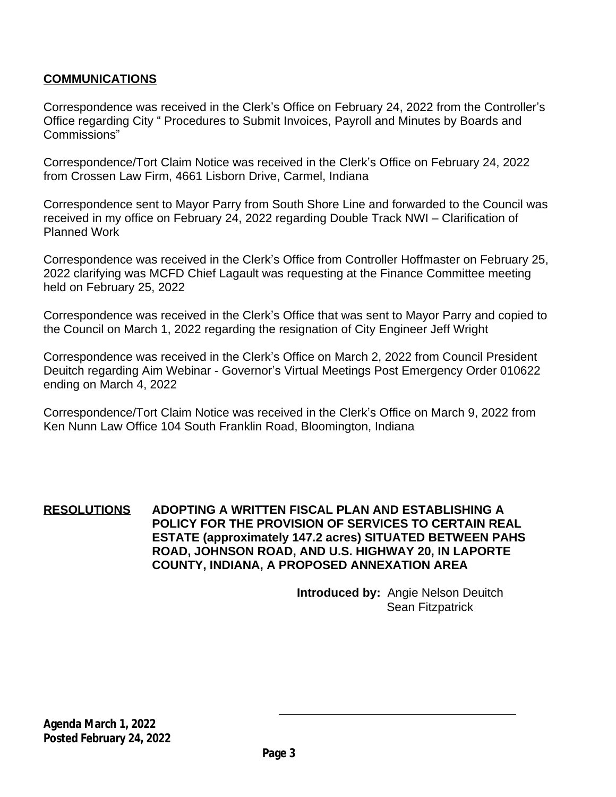## **COMMUNICATIONS**

Correspondence was received in the Clerk's Office on February 24, 2022 from the Controller's Office regarding City " Procedures to Submit Invoices, Payroll and Minutes by Boards and Commissions"

Correspondence/Tort Claim Notice was received in the Clerk's Office on February 24, 2022 from Crossen Law Firm, 4661 Lisborn Drive, Carmel, Indiana

Correspondence sent to Mayor Parry from South Shore Line and forwarded to the Council was received in my office on February 24, 2022 regarding Double Track NWI – Clarification of Planned Work

Correspondence was received in the Clerk's Office from Controller Hoffmaster on February 25, 2022 clarifying was MCFD Chief Lagault was requesting at the Finance Committee meeting held on February 25, 2022

Correspondence was received in the Clerk's Office that was sent to Mayor Parry and copied to the Council on March 1, 2022 regarding the resignation of City Engineer Jeff Wright

Correspondence was received in the Clerk's Office on March 2, 2022 from Council President Deuitch regarding Aim Webinar - Governor's Virtual Meetings Post Emergency Order 010622 ending on March 4, 2022

Correspondence/Tort Claim Notice was received in the Clerk's Office on March 9, 2022 from Ken Nunn Law Office 104 South Franklin Road, Bloomington, Indiana

### **RESOLUTIONS ADOPTING A WRITTEN FISCAL PLAN AND ESTABLISHING A POLICY FOR THE PROVISION OF SERVICES TO CERTAIN REAL ESTATE (approximately 147.2 acres) SITUATED BETWEEN PAHS ROAD, JOHNSON ROAD, AND U.S. HIGHWAY 20, IN LAPORTE COUNTY, INDIANA, A PROPOSED ANNEXATION AREA**

**Introduced by:** Angie Nelson Deuitch Sean Fitzpatrick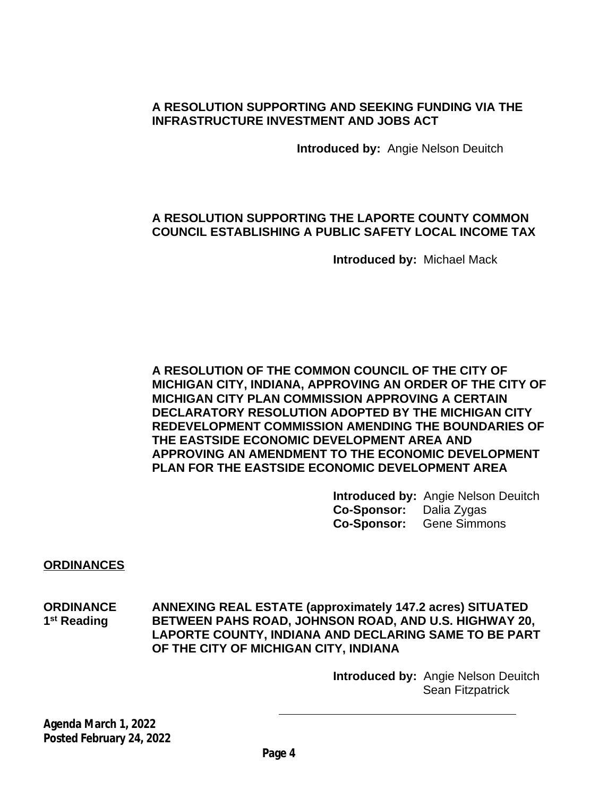# **A RESOLUTION SUPPORTING AND SEEKING FUNDING VIA THE INFRASTRUCTURE INVESTMENT AND JOBS ACT**

**Introduced by:** Angie Nelson Deuitch

# **A RESOLUTION SUPPORTING THE LAPORTE COUNTY COMMON COUNCIL ESTABLISHING A PUBLIC SAFETY LOCAL INCOME TAX**

**Introduced by:** Michael Mack

**A RESOLUTION OF THE COMMON COUNCIL OF THE CITY OF MICHIGAN CITY, INDIANA, APPROVING AN ORDER OF THE CITY OF MICHIGAN CITY PLAN COMMISSION APPROVING A CERTAIN DECLARATORY RESOLUTION ADOPTED BY THE MICHIGAN CITY REDEVELOPMENT COMMISSION AMENDING THE BOUNDARIES OF THE EASTSIDE ECONOMIC DEVELOPMENT AREA AND APPROVING AN AMENDMENT TO THE ECONOMIC DEVELOPMENT PLAN FOR THE EASTSIDE ECONOMIC DEVELOPMENT AREA**

> **Introduced by:** Angie Nelson Deuitch **Co-Sponsor:** Dalia Zygas **Co-Sponsor:** Gene Simmons

**ORDINANCES**

**ORDINANCE ANNEXING REAL ESTATE (approximately 147.2 acres) SITUATED** 1<sup>st</sup> Reading **BETWEEN PAHS ROAD, JOHNSON ROAD, AND U.S. HIGHWAY 20, LAPORTE COUNTY, INDIANA AND DECLARING SAME TO BE PART OF THE CITY OF MICHIGAN CITY, INDIANA**

> **Introduced by:** Angie Nelson Deuitch Sean Fitzpatrick

**Agenda March 1, 2022 Posted February 24, 2022**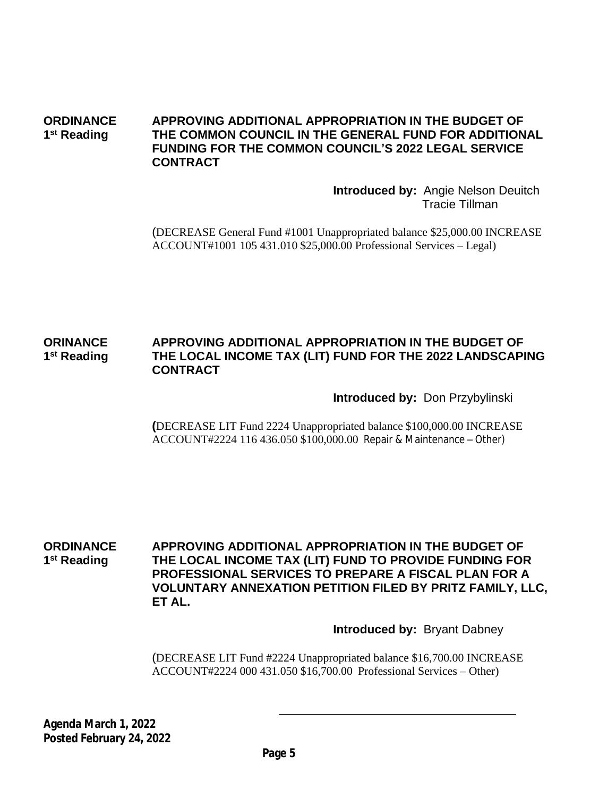#### **ORDINANCE APPROVING ADDITIONAL APPROPRIATION IN THE BUDGET OF** 1<sup>st</sup> Reading **THE COMMON COUNCIL IN THE GENERAL FUND FOR ADDITIONAL FUNDING FOR THE COMMON COUNCIL'S 2022 LEGAL SERVICE CONTRACT**

**Introduced by:** Angie Nelson Deuitch Tracie Tillman

(DECREASE General Fund #1001 Unappropriated balance \$25,000.00 INCREASE ACCOUNT#1001 105 431.010 \$25,000.00 Professional Services – Legal)

#### **ORINANCE APPROVING ADDITIONAL APPROPRIATION IN THE BUDGET OF** 1<sup>st</sup> Reading **THE LOCAL INCOME TAX (LIT) FUND FOR THE 2022 LANDSCAPING CONTRACT**

**Introduced by:** Don Przybylinski

**(**DECREASE LIT Fund 2224 Unappropriated balance \$100,000.00 INCREASE ACCOUNT#2224 116 436.050 \$100,000.00 Repair & Maintenance – Other)

**ORDINANCE APPROVING ADDITIONAL APPROPRIATION IN THE BUDGET OF** 1<sup>st</sup> Reading **THE LOCAL INCOME TAX (LIT) FUND TO PROVIDE FUNDING FOR PROFESSIONAL SERVICES TO PREPARE A FISCAL PLAN FOR A VOLUNTARY ANNEXATION PETITION FILED BY PRITZ FAMILY, LLC, ET AL.**

**Introduced by:** Bryant Dabney

(DECREASE LIT Fund #2224 Unappropriated balance \$16,700.00 INCREASE ACCOUNT#2224 000 431.050 \$16,700.00 Professional Services – Other)

**Agenda March 1, 2022 Posted February 24, 2022**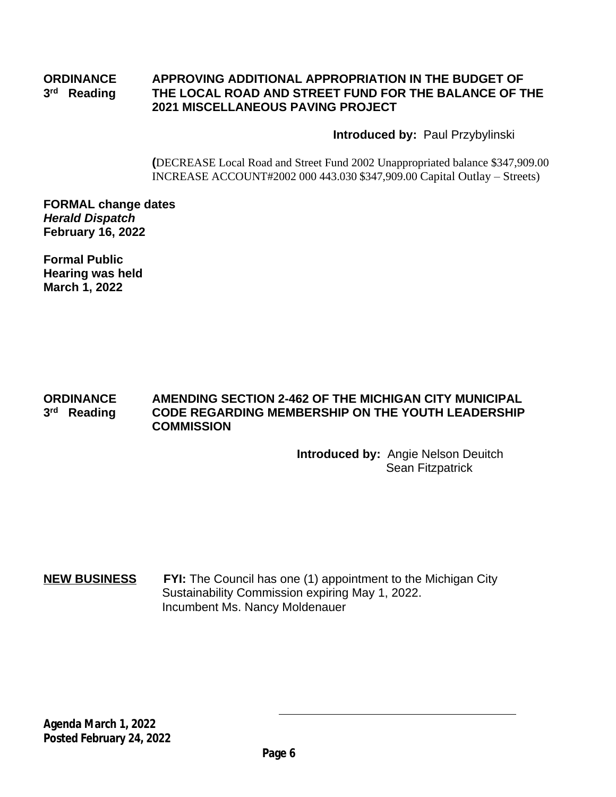#### **ORDINANCE APPROVING ADDITIONAL APPROPRIATION IN THE BUDGET OF** 3<sup>rd</sup> Reading **THE LOCAL ROAD AND STREET FUND FOR THE BALANCE OF THE 2021 MISCELLANEOUS PAVING PROJECT**

### **Introduced by:** Paul Przybylinski

**(**DECREASE Local Road and Street Fund 2002 Unappropriated balance \$347,909.00 INCREASE ACCOUNT#2002 000 443.030 \$347,909.00 Capital Outlay – Streets)

**FORMAL change dates** *Herald Dispatch* **February 16, 2022**

**Formal Public Hearing was held March 1, 2022**

#### **ORDINANCE AMENDING SECTION 2-462 OF THE MICHIGAN CITY MUNICIPAL** 3<sup>rd</sup> Reading **CODE REGARDING MEMBERSHIP ON THE YOUTH LEADERSHIP COMMISSION**

**Introduced by:** Angie Nelson Deuitch Sean Fitzpatrick

### **NEW BUSINESS FYI:** The Council has one (1) appointment to the Michigan City Sustainability Commission expiring May 1, 2022. Incumbent Ms. Nancy Moldenauer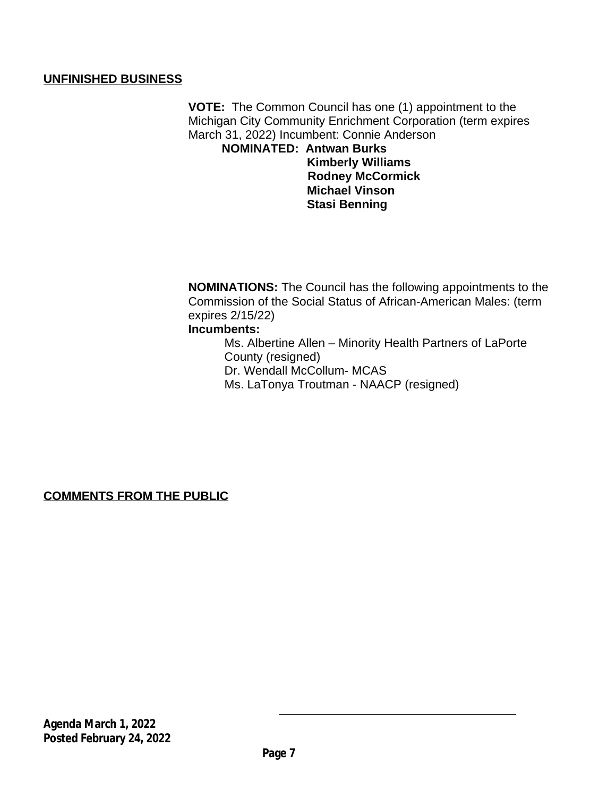### **UNFINISHED BUSINESS**

**VOTE:** The Common Council has one (1) appointment to the Michigan City Community Enrichment Corporation (term expires March 31, 2022) Incumbent: Connie Anderson

 **NOMINATED: Antwan Burks Kimberly Williams Rodney McCormick Michael Vinson Stasi Benning**

**NOMINATIONS:** The Council has the following appointments to the Commission of the Social Status of African-American Males: (term expires 2/15/22)

# **Incumbents:**

Ms. Albertine Allen – Minority Health Partners of LaPorte County (resigned) Dr. Wendall McCollum- MCAS Ms. LaTonya Troutman - NAACP (resigned)

**COMMENTS FROM THE PUBLIC**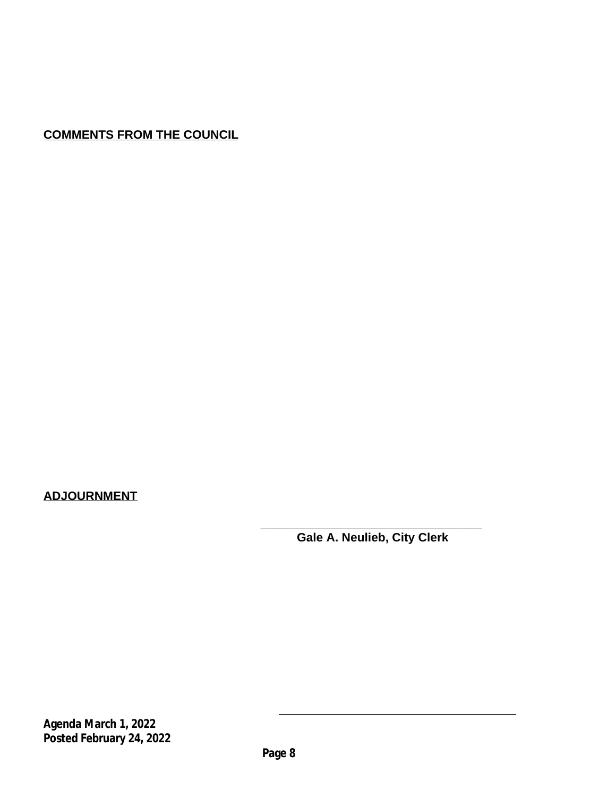# **COMMENTS FROM THE COUNCIL**

# **ADJOURNMENT**

**\_\_\_\_\_\_\_\_\_\_\_\_\_\_\_\_\_\_\_\_\_\_\_\_\_\_\_\_\_\_\_\_\_ Gale A. Neulieb, City Clerk** 

**Agenda March 1, 2022 Posted February 24, 2022**